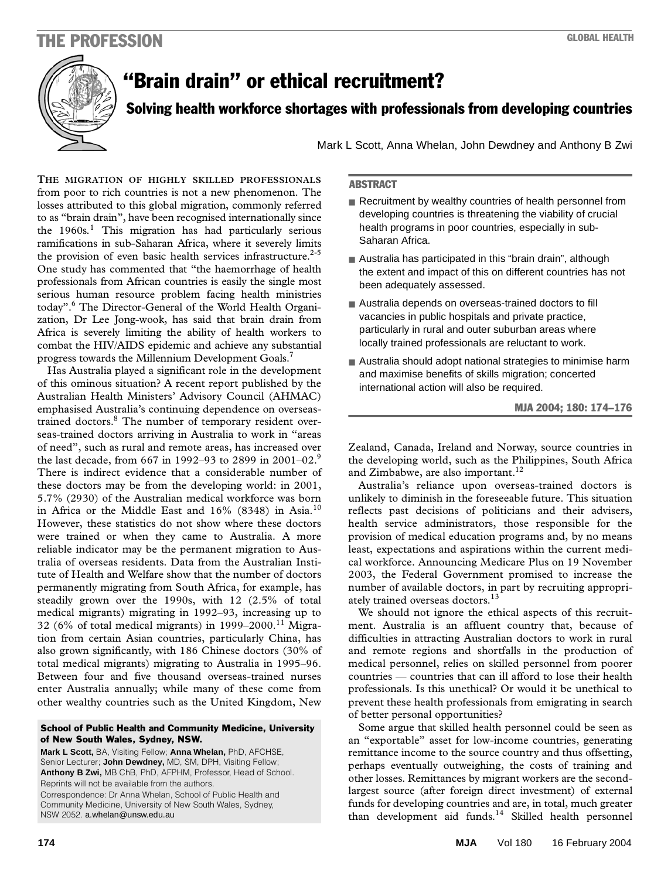# THE PROFESSION GLOBAL HEALTH THE PROFESSION GLOBAL HEALTH



# "Brain drain" or ethical recruitment?

Solving health workforce shortages with professionals from developing countries

Mark L Scott, Anna Whelan, John Dewdney and Anthony B Zwi

**ABSTRACT** 

- Recruitment by wealthy countries of health personnel from developing countries is threatening the viability of crucial health programs in poor countries, especially in sub-Saharan Africa. ■ Australia has participated in this "brain drain", although
	- the extent and impact of this on different countries has not been adequately assessed. ■ Australia depends on overseas-trained doctors to fill
	- vacancies in public hospitals and private practice, particularly in rural and outer suburban areas where locally trained professionals are reluctant to work.
	- Australia should adopt national strategies to minimise harm and maximise benefits of skills migration; concerted international action will also be required.

### MJA 2004; 180: 174–176

Zealand, Canada, Ireland and Norway, source countries in the developing world, such as the Philippines, South Africa and Zimbabwe, are also important. $^{12}$ 

Australia's reliance upon overseas-trained doctors is unlikely to diminish in the foreseeable future. This situation reflects past decisions of politicians and their advisers, health service administrators, those responsible for the provision of medical education programs and, by no means least, expectations and aspirations within the current medical workforce. Announcing Medicare Plus on 19 November 2003, the Federal Government promised to increase the number of available doctors, in part by recruiting appropriately trained overseas doctors.<sup>13</sup>

We should not ignore the ethical aspects of this recruitment. Australia is an affluent country that, because of difficulties in attracting Australian doctors to work in rural and remote regions and shortfalls in the production of medical personnel, relies on skilled personnel from poorer countries — countries that can ill afford to lose their health professionals. Is this unethical? Or would it be unethical to prevent these health professionals from emigrating in search of better personal opportunities?

Some argue that skilled health personnel could be seen as an "exportable" asset for low-income countries, generating remittance income to the source country and thus offsetting, perhaps eventually outweighing, the costs of training and other losses. Remittances by migrant workers are the secondlargest source (after foreign direct investment) of external funds for developing countries and are, in total, much greater than development aid funds.<sup>14</sup> Skilled health personnel

to as "brain drain", have been recognised internationally since the 1960s.<sup>1</sup> This migration has had particularly serious ramifications in sub-Saharan Africa, where it severely limits the provision of even basic health services infrastructure.<sup>2-5</sup> **THE MIGRATION OF HIGHLY SKILLED PROFESSIONALS** from poor to rich countries is not a new phenomenon. The losses attributed to this global migration, commonly referred One study has commented that "the haemorrhage of health professionals from African countries is easily the single most serious human resource problem facing health ministries today".6 The Director-General of the World Health Organization, Dr Lee Jong-wook, has said that brain drain from Africa is severely limiting the ability of health workers to combat the HIV/AIDS epidemic and achieve any substantial progress towards the Millennium Development Goals.<sup>7</sup>

Has Australia played a significant role in the development of this ominous situation? A recent report published by the Australian Health Ministers' Advisory Council (AHMAC) emphasised Australia's continuing dependence on overseastrained doctors.<sup>8</sup> The number of temporary resident overseas-trained doctors arriving in Australia to work in "areas of need", such as rural and remote areas, has increased over the last decade, from 667 in 1992–93 to 2899 in 2001–02.<sup>9</sup> There is indirect evidence that a considerable number of these doctors may be from the developing world: in 2001, 5.7% (2930) of the Australian medical workforce was born in Africa or the Middle East and  $16\%$  (8348) in Asia.<sup>10</sup> However, these statistics do not show where these doctors were trained or when they came to Australia. A more reliable indicator may be the permanent migration to Australia of overseas residents. Data from the Australian Institute of Health and Welfare show that the number of doctors permanently migrating from South Africa, for example, has steadily grown over the 1990s, with 12 (2.5% of total medical migrants) migrating in 1992–93, increasing up to 32 (6% of total medical migrants) in 1999–2000.<sup>11</sup> Migration from certain Asian countries, particularly China, has also grown significantly, with 186 Chinese doctors (30% of total medical migrants) migrating to Australia in 1995–96. Between four and five thousand overseas-trained nurses enter Australia annually; while many of these come from other wealthy countries such as the United Kingdom, New

#### School of Public Health and Community Medicine, University of New South Wales, Sydney, NSW.

**Mark L Scott,** BA, Visiting Fellow; **Anna Whelan,** PhD, AFCHSE, Senior Lecturer; **John Dewdney,** MD, SM, DPH, Visiting Fellow; **Anthony B Zwi,** MB ChB, PhD, AFPHM, Professor, Head of School. Reprints will not be available from the authors. Correspondence: Dr Anna Whelan, School of Public Health and Community Medicine, University of New South Wales, Sydney, NSW 2052. a.whelan@unsw.edu.au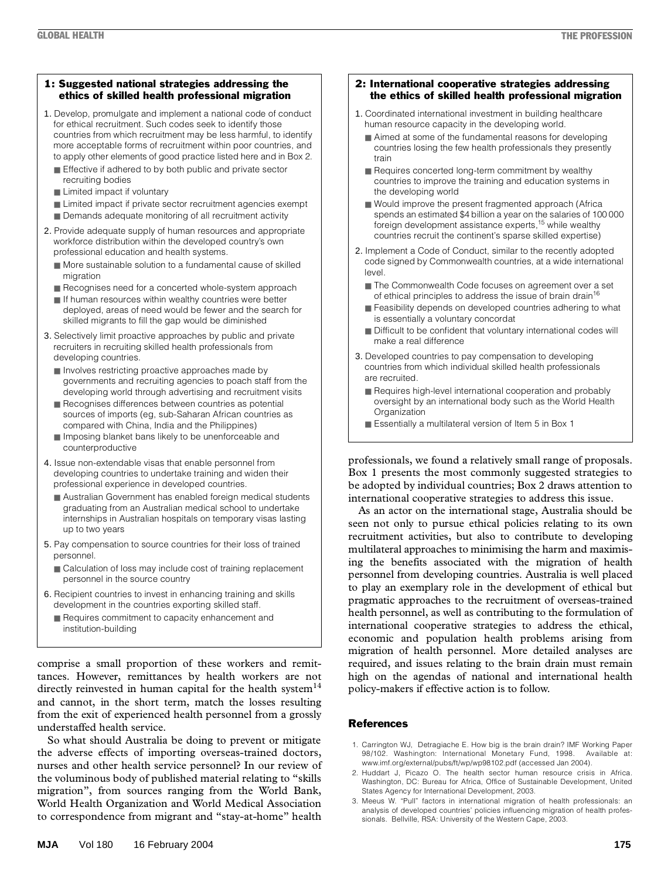#### 1: Suggested national strategies addressing the ethics of skilled health professional migration

- 1. Develop, promulgate and implement a national code of conduct for ethical recruitment. Such codes seek to identify those countries from which recruitment may be less harmful, to identify more acceptable forms of recruitment within poor countries, and to apply other elements of good practice listed here and in Box 2.
	- Effective if adhered to by both public and private sector recruiting bodies
	- Limited impact if voluntary
	- Limited impact if private sector recruitment agencies exempt
	- Demands adequate monitoring of all recruitment activity
- 2. Provide adequate supply of human resources and appropriate workforce distribution within the developed country's own professional education and health systems.
	- More sustainable solution to a fundamental cause of skilled migration
	- Recognises need for a concerted whole-system approach
	- If human resources within wealthy countries were better deployed, areas of need would be fewer and the search for skilled migrants to fill the gap would be diminished
- 3. Selectively limit proactive approaches by public and private recruiters in recruiting skilled health professionals from developing countries.
	- Involves restricting proactive approaches made by governments and recruiting agencies to poach staff from the developing world through advertising and recruitment visits
	- Recognises differences between countries as potential sources of imports (eg, sub-Saharan African countries as compared with China, India and the Philippines)
	- Imposing blanket bans likely to be unenforceable and counterproductive
- 4. Issue non-extendable visas that enable personnel from developing countries to undertake training and widen their professional experience in developed countries.
	- Australian Government has enabled foreign medical students graduating from an Australian medical school to undertake internships in Australian hospitals on temporary visas lasting up to two years
- 5. Pay compensation to source countries for their loss of trained personnel.
	- Calculation of loss may include cost of training replacement personnel in the source country
- 6. Recipient countries to invest in enhancing training and skills development in the countries exporting skilled staff.
	- Requires commitment to capacity enhancement and institution-building

comprise a small proportion of these workers and remittances. However, remittances by health workers are not directly reinvested in human capital for the health system<sup>14</sup> and cannot, in the short term, match the losses resulting from the exit of experienced health personnel from a grossly understaffed health service.

So what should Australia be doing to prevent or mitigate the adverse effects of importing overseas-trained doctors, nurses and other health service personnel? In our review of the voluminous body of published material relating to "skills migration", from sources ranging from the World Bank, World Health Organization and World Medical Association to correspondence from migrant and "stay-at-home" health

## 2: International cooperative strategies addressing the ethics of skilled health professional migration

- 1. Coordinated international investment in building healthcare human resource capacity in the developing world.
	- Aimed at some of the fundamental reasons for developing countries losing the few health professionals they presently train
	- Requires concerted long-term commitment by wealthy countries to improve the training and education systems in the developing world
	- Would improve the present fragmented approach (Africa spends an estimated \$4 billion a year on the salaries of 100 000 foreign development assistance experts,<sup>15</sup> while wealthy countries recruit the continent's sparse skilled expertise)
- 2. Implement a Code of Conduct, similar to the recently adopted code signed by Commonwealth countries, at a wide international level.
	- The Commonwealth Code focuses on agreement over a set of ethical principles to address the issue of brain drain<sup>16</sup>
	- Feasibility depends on developed countries adhering to what is essentially a voluntary concordat
	- Difficult to be confident that voluntary international codes will make a real difference
- 3. Developed countries to pay compensation to developing countries from which individual skilled health professionals are recruited.
	- Requires high-level international cooperation and probably oversight by an international body such as the World Health **Organization**
	- Essentially a multilateral version of Item 5 in Box 1

professionals, we found a relatively small range of proposals. Box 1 presents the most commonly suggested strategies to be adopted by individual countries; Box 2 draws attention to international cooperative strategies to address this issue.

As an actor on the international stage, Australia should be seen not only to pursue ethical policies relating to its own recruitment activities, but also to contribute to developing multilateral approaches to minimising the harm and maximising the benefits associated with the migration of health personnel from developing countries. Australia is well placed to play an exemplary role in the development of ethical but pragmatic approaches to the recruitment of overseas-trained health personnel, as well as contributing to the formulation of international cooperative strategies to address the ethical, economic and population health problems arising from migration of health personnel. More detailed analyses are required, and issues relating to the brain drain must remain high on the agendas of national and international health policy-makers if effective action is to follow.

# References

- 1. Carrington WJ, Detragiache E. How big is the brain drain? IMF Working Paper 98/102. Washington: International Monetary Fund, 1998. Available at: www.imf.org/external/pubs/ft/wp/wp98102.pdf (accessed Jan 2004).
- 2. Huddart J, Picazo O. The health sector human resource crisis in Africa. Washington, DC: Bureau for Africa, Office of Sustainable Development, United States Agency for International Development, 2003.
- 3. Meeus W. "Pull" factors in international migration of health professionals: an analysis of developed countries' policies influencing migration of health professionals. Bellville, RSA: University of the Western Cape, 2003.